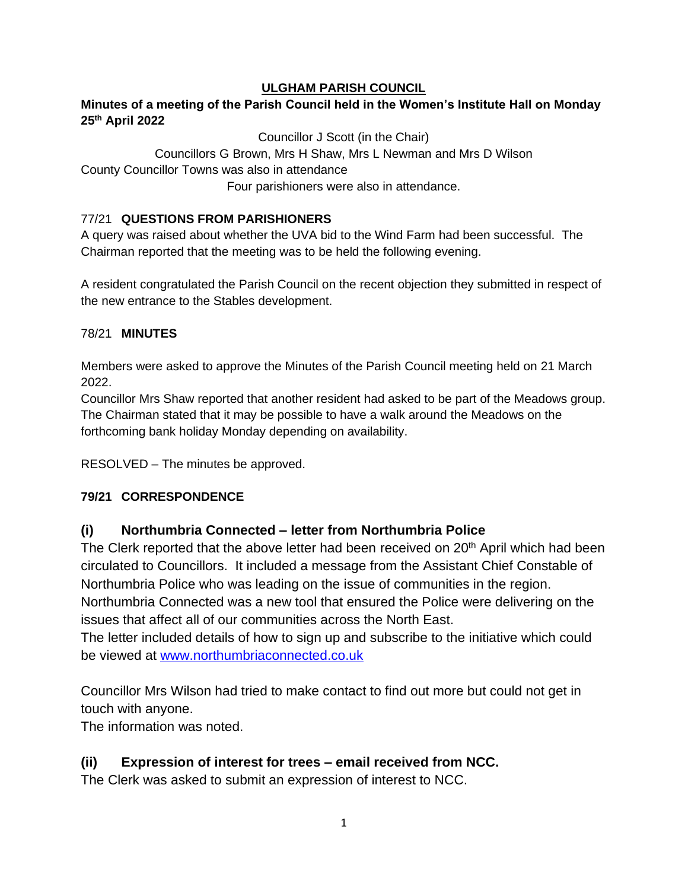## **ULGHAM PARISH COUNCIL**

## **Minutes of a meeting of the Parish Council held in the Women's Institute Hall on Monday 25 th April 2022**

Councillor J Scott (in the Chair)

Councillors G Brown, Mrs H Shaw, Mrs L Newman and Mrs D Wilson County Councillor Towns was also in attendance Four parishioners were also in attendance.

## 77/21 **QUESTIONS FROM PARISHIONERS**

A query was raised about whether the UVA bid to the Wind Farm had been successful. The Chairman reported that the meeting was to be held the following evening.

A resident congratulated the Parish Council on the recent objection they submitted in respect of the new entrance to the Stables development.

## 78/21 **MINUTES**

Members were asked to approve the Minutes of the Parish Council meeting held on 21 March 2022.

Councillor Mrs Shaw reported that another resident had asked to be part of the Meadows group. The Chairman stated that it may be possible to have a walk around the Meadows on the forthcoming bank holiday Monday depending on availability.

RESOLVED – The minutes be approved.

# **79/21 CORRESPONDENCE**

# **(i) Northumbria Connected – letter from Northumbria Police**

The Clerk reported that the above letter had been received on 20<sup>th</sup> April which had been circulated to Councillors. It included a message from the Assistant Chief Constable of Northumbria Police who was leading on the issue of communities in the region. Northumbria Connected was a new tool that ensured the Police were delivering on the issues that affect all of our communities across the North East.

The letter included details of how to sign up and subscribe to the initiative which could be viewed at [www.northumbriaconnected.co.uk](http://www.northumbriaconnected.co.uk/)

Councillor Mrs Wilson had tried to make contact to find out more but could not get in touch with anyone.

The information was noted.

# **(ii) Expression of interest for trees – email received from NCC.**

The Clerk was asked to submit an expression of interest to NCC.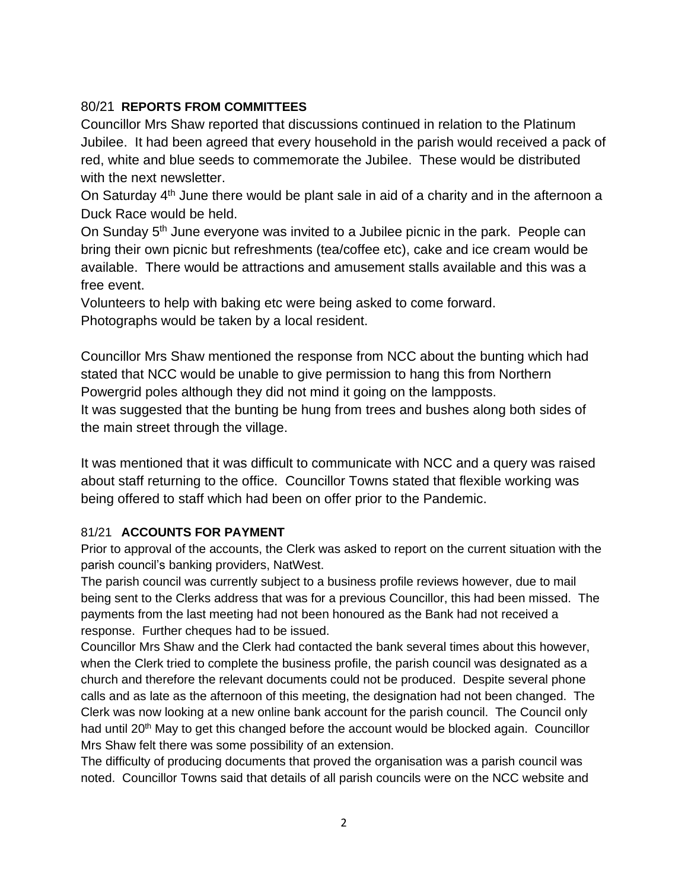# 80/21 **REPORTS FROM COMMITTEES**

Councillor Mrs Shaw reported that discussions continued in relation to the Platinum Jubilee. It had been agreed that every household in the parish would received a pack of red, white and blue seeds to commemorate the Jubilee. These would be distributed with the next newsletter.

On Saturday  $4<sup>th</sup>$  June there would be plant sale in aid of a charity and in the afternoon a Duck Race would be held.

On Sunday 5<sup>th</sup> June everyone was invited to a Jubilee picnic in the park. People can bring their own picnic but refreshments (tea/coffee etc), cake and ice cream would be available. There would be attractions and amusement stalls available and this was a free event.

Volunteers to help with baking etc were being asked to come forward. Photographs would be taken by a local resident.

Councillor Mrs Shaw mentioned the response from NCC about the bunting which had stated that NCC would be unable to give permission to hang this from Northern Powergrid poles although they did not mind it going on the lampposts. It was suggested that the bunting be hung from trees and bushes along both sides of

the main street through the village.

It was mentioned that it was difficult to communicate with NCC and a query was raised about staff returning to the office. Councillor Towns stated that flexible working was being offered to staff which had been on offer prior to the Pandemic.

#### 81/21 **ACCOUNTS FOR PAYMENT**

Prior to approval of the accounts, the Clerk was asked to report on the current situation with the parish council's banking providers, NatWest.

The parish council was currently subject to a business profile reviews however, due to mail being sent to the Clerks address that was for a previous Councillor, this had been missed. The payments from the last meeting had not been honoured as the Bank had not received a response. Further cheques had to be issued.

Councillor Mrs Shaw and the Clerk had contacted the bank several times about this however, when the Clerk tried to complete the business profile, the parish council was designated as a church and therefore the relevant documents could not be produced. Despite several phone calls and as late as the afternoon of this meeting, the designation had not been changed. The Clerk was now looking at a new online bank account for the parish council. The Council only had until 20<sup>th</sup> May to get this changed before the account would be blocked again. Councillor Mrs Shaw felt there was some possibility of an extension.

The difficulty of producing documents that proved the organisation was a parish council was noted. Councillor Towns said that details of all parish councils were on the NCC website and